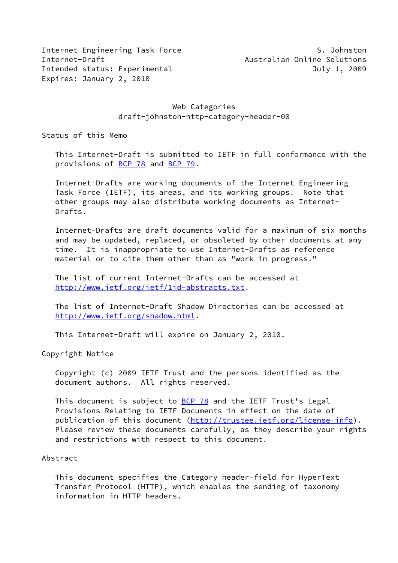Internet Engineering Task Force S. Johnston Internet-Draft Australian Online Solutions Intended status: Experimental and a status of the July 1, 2009 Expires: January 2, 2010

## Web Categories draft-johnston-http-category-header-00

Status of this Memo

 This Internet-Draft is submitted to IETF in full conformance with the provisions of [BCP 78](https://datatracker.ietf.org/doc/pdf/bcp78) and [BCP 79](https://datatracker.ietf.org/doc/pdf/bcp79).

 Internet-Drafts are working documents of the Internet Engineering Task Force (IETF), its areas, and its working groups. Note that other groups may also distribute working documents as Internet- Drafts.

 Internet-Drafts are draft documents valid for a maximum of six months and may be updated, replaced, or obsoleted by other documents at any time. It is inappropriate to use Internet-Drafts as reference material or to cite them other than as "work in progress."

 The list of current Internet-Drafts can be accessed at <http://www.ietf.org/ietf/1id-abstracts.txt>.

 The list of Internet-Draft Shadow Directories can be accessed at <http://www.ietf.org/shadow.html>.

This Internet-Draft will expire on January 2, 2010.

Copyright Notice

 Copyright (c) 2009 IETF Trust and the persons identified as the document authors. All rights reserved.

This document is subject to **[BCP 78](https://datatracker.ietf.org/doc/pdf/bcp78)** and the IETF Trust's Legal Provisions Relating to IETF Documents in effect on the date of publication of this document [\(http://trustee.ietf.org/license-info](http://trustee.ietf.org/license-info)). Please review these documents carefully, as they describe your rights and restrictions with respect to this document.

#### Abstract

 This document specifies the Category header-field for HyperText Transfer Protocol (HTTP), which enables the sending of taxonomy information in HTTP headers.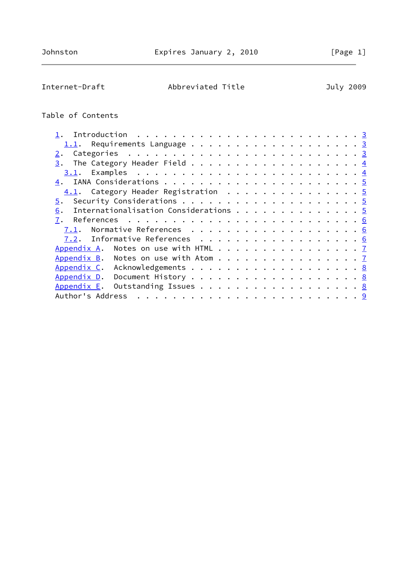Internet-Draft Abbreviated Title July 2009

# Table of Contents

| $1.1$ . Requirements Language 3                  |  |  |  |  |  |  |  |  |  |  |
|--------------------------------------------------|--|--|--|--|--|--|--|--|--|--|
|                                                  |  |  |  |  |  |  |  |  |  |  |
| 3.                                               |  |  |  |  |  |  |  |  |  |  |
|                                                  |  |  |  |  |  |  |  |  |  |  |
|                                                  |  |  |  |  |  |  |  |  |  |  |
| 4.1. Category Header Registration 5              |  |  |  |  |  |  |  |  |  |  |
| 5.                                               |  |  |  |  |  |  |  |  |  |  |
| Internationalisation Considerations 5<br>6.      |  |  |  |  |  |  |  |  |  |  |
| 7.                                               |  |  |  |  |  |  |  |  |  |  |
|                                                  |  |  |  |  |  |  |  |  |  |  |
| 7.2. Informative References 6                    |  |  |  |  |  |  |  |  |  |  |
| Appendix A. Notes on use with HTML 7             |  |  |  |  |  |  |  |  |  |  |
| Appendix B. Notes on use with Atom $\frac{7}{2}$ |  |  |  |  |  |  |  |  |  |  |
| Appendix C. Acknowledgements 8                   |  |  |  |  |  |  |  |  |  |  |
| Appendix D. Document History 8                   |  |  |  |  |  |  |  |  |  |  |
| Appendix E. Outstanding Issues 8                 |  |  |  |  |  |  |  |  |  |  |
|                                                  |  |  |  |  |  |  |  |  |  |  |
|                                                  |  |  |  |  |  |  |  |  |  |  |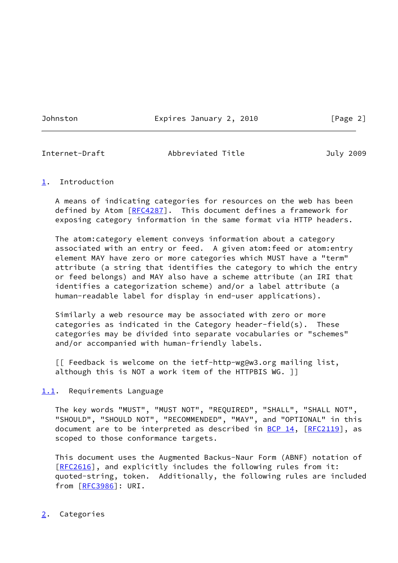Johnston Expires January 2, 2010 [Page 2]

<span id="page-2-1"></span>

### Internet-Draft Abbreviated Title July 2009

## <span id="page-2-0"></span>[1](#page-2-0). Introduction

 A means of indicating categories for resources on the web has been defined by Atom [\[RFC4287](https://datatracker.ietf.org/doc/pdf/rfc4287)]. This document defines a framework for exposing category information in the same format via HTTP headers.

 The atom:category element conveys information about a category associated with an entry or feed. A given atom:feed or atom:entry element MAY have zero or more categories which MUST have a "term" attribute (a string that identifies the category to which the entry or feed belongs) and MAY also have a scheme attribute (an IRI that identifies a categorization scheme) and/or a label attribute (a human-readable label for display in end-user applications).

 Similarly a web resource may be associated with zero or more categories as indicated in the Category header-field(s). These categories may be divided into separate vocabularies or "schemes" and/or accompanied with human-friendly labels.

 [[ Feedback is welcome on the ietf-http-wg@w3.org mailing list, although this is NOT a work item of the HTTPBIS WG. ]]

# <span id="page-2-2"></span>[1.1](#page-2-2). Requirements Language

 The key words "MUST", "MUST NOT", "REQUIRED", "SHALL", "SHALL NOT", "SHOULD", "SHOULD NOT", "RECOMMENDED", "MAY", and "OPTIONAL" in this document are to be interpreted as described in  $BCP_14$ ,  $[RFC2119]$  $[RFC2119]$ , as scoped to those conformance targets.

 This document uses the Augmented Backus-Naur Form (ABNF) notation of [\[RFC2616](https://datatracker.ietf.org/doc/pdf/rfc2616)], and explicitly includes the following rules from it: quoted-string, token. Additionally, the following rules are included from [\[RFC3986](https://datatracker.ietf.org/doc/pdf/rfc3986)]: URI.

# <span id="page-2-3"></span>[2](#page-2-3). Categories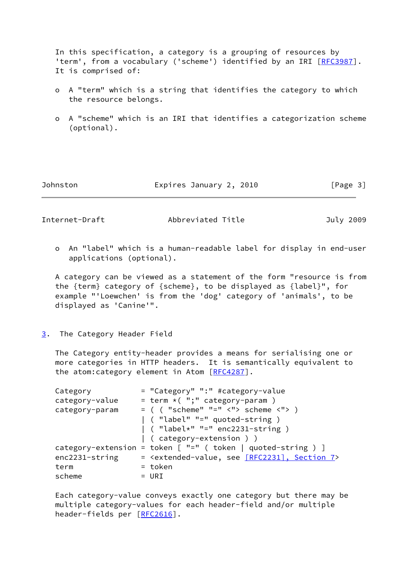In this specification, a category is a grouping of resources by 'term', from a vocabulary ('scheme') identified by an IRI [[RFC3987](https://datatracker.ietf.org/doc/pdf/rfc3987)]. It is comprised of:

- o A "term" which is a string that identifies the category to which the resource belongs.
- o A "scheme" which is an IRI that identifies a categorization scheme (optional).

Johnston Expires January 2, 2010 [Page 3]

<span id="page-3-1"></span>

Internet-Draft Abbreviated Title July 2009

 o An "label" which is a human-readable label for display in end-user applications (optional).

 A category can be viewed as a statement of the form "resource is from the {term} category of {scheme}, to be displayed as {label}", for example "'Loewchen' is from the 'dog' category of 'animals', to be displayed as 'Canine'".

<span id="page-3-0"></span>[3](#page-3-0). The Category Header Field

 The Category entity-header provides a means for serialising one or more categories in HTTP headers. It is semantically equivalent to the atom: category element in Atom [[RFC4287](https://datatracker.ietf.org/doc/pdf/rfc4287)].

| Category       | = "Category" ":" #category-value                                           |
|----------------|----------------------------------------------------------------------------|
| category-value | $=$ term $*($ ";" category-param)                                          |
| category-param | $=$ ( ( "scheme" "=" $\langle$ "> scheme $\langle$ "> )                    |
|                | ( "label" "=" quoted-string )                                              |
|                | $\vert$ ( "label*" "=" enc2231-string )                                    |
|                | (category-extension ) )                                                    |
|                | category-extension = token $[$ "=" $($ token $ $ quoted-string $)$ ]       |
| enc2231-string | = <extended-value, 7="" [rfc2231],="" section="" see=""></extended-value,> |
| term           | = token                                                                    |
| scheme         | $= URI$                                                                    |

 Each category-value conveys exactly one category but there may be multiple category-values for each header-field and/or multiple header-fields per [[RFC2616](https://datatracker.ietf.org/doc/pdf/rfc2616)].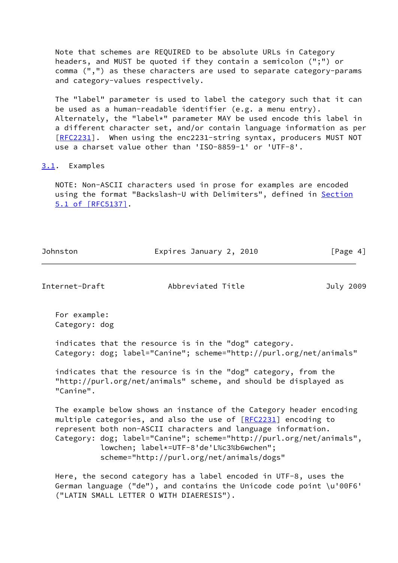Note that schemes are REQUIRED to be absolute URLs in Category headers, and MUST be quoted if they contain a semicolon (";") or comma (",") as these characters are used to separate category-params and category-values respectively.

 The "label" parameter is used to label the category such that it can be used as a human-readable identifier (e.g. a menu entry). Alternately, the "label\*" parameter MAY be used encode this label in a different character set, and/or contain language information as per [\[RFC2231](https://datatracker.ietf.org/doc/pdf/rfc2231)]. When using the enc2231-string syntax, producers MUST NOT use a charset value other than 'ISO-8859-1' or 'UTF-8'.

#### <span id="page-4-0"></span>[3.1](#page-4-0). Examples

 NOTE: Non-ASCII characters used in prose for examples are encoded using the format "Backslash-U with Delimiters", defined in [Section](https://datatracker.ietf.org/doc/pdf/rfc5137#section-5.1) [5.1 of \[RFC5137\]](https://datatracker.ietf.org/doc/pdf/rfc5137#section-5.1).

| Johnston | Expires January 2, 2010 | [Page $4$ ] |
|----------|-------------------------|-------------|
|          |                         |             |

<span id="page-4-1"></span>Internet-Draft Abbreviated Title July 2009

 For example: Category: dog

 indicates that the resource is in the "dog" category. Category: dog; label="Canine"; scheme="http://purl.org/net/animals"

 indicates that the resource is in the "dog" category, from the "http://purl.org/net/animals" scheme, and should be displayed as "Canine".

 The example below shows an instance of the Category header encoding multiple categories, and also the use of [\[RFC2231](https://datatracker.ietf.org/doc/pdf/rfc2231)] encoding to represent both non-ASCII characters and language information. Category: dog; label="Canine"; scheme="http://purl.org/net/animals", lowchen; label\*=UTF-8'de'L%c3%b6wchen"; scheme="http://purl.org/net/animals/dogs"

 Here, the second category has a label encoded in UTF-8, uses the German language ("de"), and contains the Unicode code point \u'00F6' ("LATIN SMALL LETTER O WITH DIAERESIS").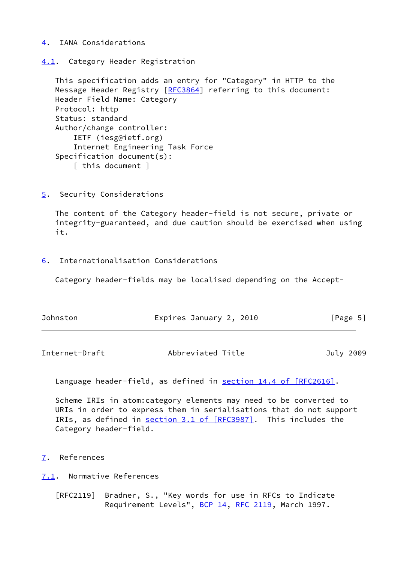## <span id="page-5-0"></span>[4](#page-5-0). IANA Considerations

<span id="page-5-1"></span>[4.1](#page-5-1). Category Header Registration

 This specification adds an entry for "Category" in HTTP to the Message Header Registry [\[RFC3864](https://datatracker.ietf.org/doc/pdf/rfc3864)] referring to this document: Header Field Name: Category Protocol: http Status: standard Author/change controller: IETF (iesg@ietf.org) Internet Engineering Task Force Specification document(s): [ this document ]

<span id="page-5-2"></span>[5](#page-5-2). Security Considerations

 The content of the Category header-field is not secure, private or integrity-guaranteed, and due caution should be exercised when using it.

<span id="page-5-3"></span>[6](#page-5-3). Internationalisation Considerations

Category header-fields may be localised depending on the Accept-

| Johnston | Expires January 2, 2010 | [Page 5] |
|----------|-------------------------|----------|
|          |                         |          |

<span id="page-5-5"></span>

| Abbreviated Title<br>Internet-Draft | July 2009 |
|-------------------------------------|-----------|
|-------------------------------------|-----------|

Language header-field, as defined in section [14.4 of \[RFC2616\]](https://datatracker.ietf.org/doc/pdf/rfc2616#section-14.4).

 Scheme IRIs in atom:category elements may need to be converted to URIs in order to express them in serialisations that do not support IRIs, as defined in section [3.1 of \[RFC3987\].](https://datatracker.ietf.org/doc/pdf/rfc3987#section-3.1) This includes the Category header-field.

<span id="page-5-4"></span>[7](#page-5-4). References

<span id="page-5-6"></span>[7.1](#page-5-6). Normative References

 [RFC2119] Bradner, S., "Key words for use in RFCs to Indicate Requirement Levels", [BCP 14](https://datatracker.ietf.org/doc/pdf/bcp14), [RFC 2119](https://datatracker.ietf.org/doc/pdf/rfc2119), March 1997.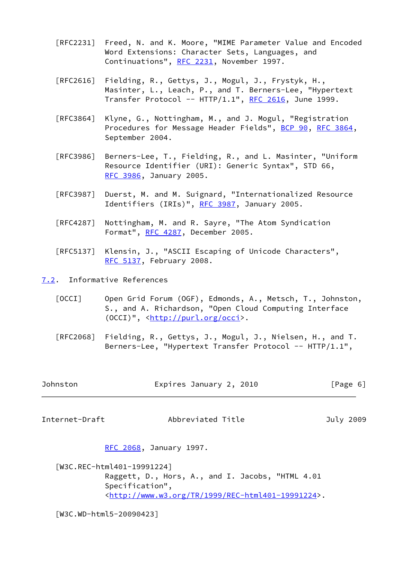- [RFC2231] Freed, N. and K. Moore, "MIME Parameter Value and Encoded Word Extensions: Character Sets, Languages, and Continuations", [RFC 2231,](https://datatracker.ietf.org/doc/pdf/rfc2231) November 1997.
- [RFC2616] Fielding, R., Gettys, J., Mogul, J., Frystyk, H., Masinter, L., Leach, P., and T. Berners-Lee, "Hypertext Transfer Protocol --  $HTTP/1.1$ ", [RFC 2616,](https://datatracker.ietf.org/doc/pdf/rfc2616) June 1999.
- [RFC3864] Klyne, G., Nottingham, M., and J. Mogul, "Registration Procedures for Message Header Fields", [BCP 90](https://datatracker.ietf.org/doc/pdf/bcp90), [RFC 3864](https://datatracker.ietf.org/doc/pdf/rfc3864), September 2004.
- [RFC3986] Berners-Lee, T., Fielding, R., and L. Masinter, "Uniform Resource Identifier (URI): Generic Syntax", STD 66, [RFC 3986,](https://datatracker.ietf.org/doc/pdf/rfc3986) January 2005.
- [RFC3987] Duerst, M. and M. Suignard, "Internationalized Resource Identifiers (IRIs)", [RFC 3987](https://datatracker.ietf.org/doc/pdf/rfc3987), January 2005.
- [RFC4287] Nottingham, M. and R. Sayre, "The Atom Syndication Format", [RFC 4287,](https://datatracker.ietf.org/doc/pdf/rfc4287) December 2005.
- [RFC5137] Klensin, J., "ASCII Escaping of Unicode Characters", [RFC 5137,](https://datatracker.ietf.org/doc/pdf/rfc5137) February 2008.

<span id="page-6-0"></span>[7.2](#page-6-0). Informative References

- <span id="page-6-4"></span> [OCCI] Open Grid Forum (OGF), Edmonds, A., Metsch, T., Johnston, S., and A. Richardson, "Open Cloud Computing Interface (OCCI)", [<http://purl.org/occi](http://purl.org/occi)>.
- [RFC2068] Fielding, R., Gettys, J., Mogul, J., Nielsen, H., and T. Berners-Lee, "Hypertext Transfer Protocol -- HTTP/1.1",
- Johnston Expires January 2, 2010 [Page 6]

<span id="page-6-1"></span>Internet-Draft Abbreviated Title July 2009

[RFC 2068,](https://datatracker.ietf.org/doc/pdf/rfc2068) January 1997.

<span id="page-6-2"></span> [W3C.REC-html401-19991224] Raggett, D., Hors, A., and I. Jacobs, "HTML 4.01 Specification", <<http://www.w3.org/TR/1999/REC-html401-19991224>>.

<span id="page-6-3"></span>[W3C.WD-html5-20090423]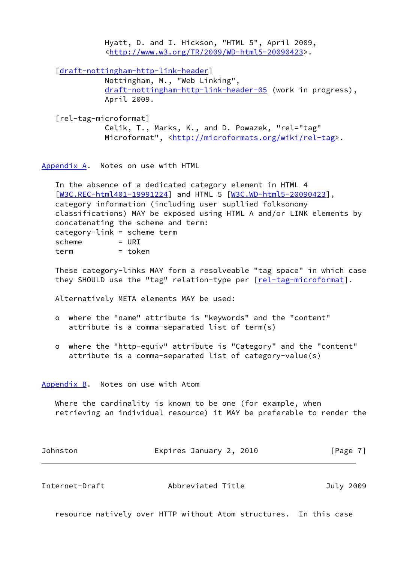Hyatt, D. and I. Hickson, "HTML 5", April 2009, <[http://www.w3.org/TR/2009/WD-html5-20090423>](http://www.w3.org/TR/2009/WD-html5-20090423).

[\[draft-nottingham-http-link-header](https://datatracker.ietf.org/doc/pdf/draft-nottingham-http-link-header)] Nottingham, M., "Web Linking", [draft-nottingham-http-link-header-05](https://datatracker.ietf.org/doc/pdf/draft-nottingham-http-link-header-05) (work in progress), April 2009.

```
 [rel-tag-microformat]
```
 Celik, T., Marks, K., and D. Powazek, "rel="tag" Microformat", [<http://microformats.org/wiki/rel-tag](http://microformats.org/wiki/rel-tag)>.

<span id="page-7-0"></span>[Appendix A.](#page-7-0) Notes on use with HTML

 In the absence of a dedicated category element in HTML 4 [\[W3C.REC-html401-19991224](#page-6-2)] and HTML 5 [[W3C.WD-html5-20090423\]](#page-6-3), category information (including user supllied folksonomy classifications) MAY be exposed using HTML A and/or LINK elements by concatenating the scheme and term: category-link = scheme term  $scheme$  =  $URT$ term = token

 These category-links MAY form a resolveable "tag space" in which case they SHOULD use the "tag" relation-type per [\[rel-tag-microformat](#page-7-3)].

Alternatively META elements MAY be used:

- o where the "name" attribute is "keywords" and the "content" attribute is a comma-separated list of term(s)
- o where the "http-equiv" attribute is "Category" and the "content" attribute is a comma-separated list of category-value(s)

<span id="page-7-1"></span>[Appendix B.](#page-7-1) Notes on use with Atom

 Where the cardinality is known to be one (for example, when retrieving an individual resource) it MAY be preferable to render the

| Johnston | Expires January 2, 2010 | [Page 7] |
|----------|-------------------------|----------|
|          |                         |          |

<span id="page-7-2"></span>Internet-Draft Abbreviated Title July 2009

resource natively over HTTP without Atom structures. In this case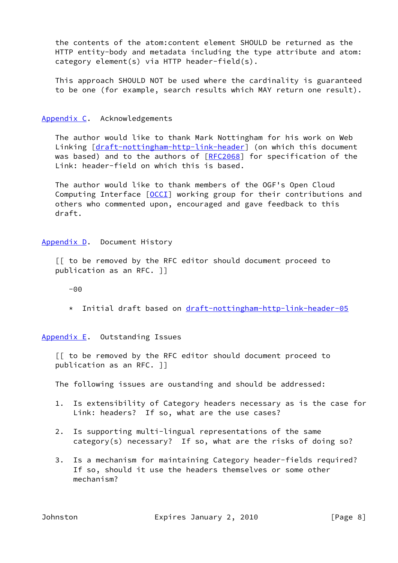the contents of the atom:content element SHOULD be returned as the HTTP entity-body and metadata including the type attribute and atom: category element(s) via HTTP header-field(s).

 This approach SHOULD NOT be used where the cardinality is guaranteed to be one (for example, search results which MAY return one result).

### <span id="page-8-0"></span>[Appendix C.](#page-8-0) Acknowledgements

 The author would like to thank Mark Nottingham for his work on Web Linking [\[draft-nottingham-http-link-header](https://datatracker.ietf.org/doc/pdf/draft-nottingham-http-link-header)] (on which this document was based) and to the authors of [\[RFC2068](https://datatracker.ietf.org/doc/pdf/rfc2068)] for specification of the Link: header-field on which this is based.

 The author would like to thank members of the OGF's Open Cloud Computing Interface [\[OCCI](#page-6-4)] working group for their contributions and others who commented upon, encouraged and gave feedback to this draft.

#### <span id="page-8-1"></span>[Appendix D.](#page-8-1) Document History

 [[ to be removed by the RFC editor should document proceed to publication as an RFC. ]]

 $-00$ 

\* Initial draft based on [draft-nottingham-http-link-header-05](https://datatracker.ietf.org/doc/pdf/draft-nottingham-http-link-header-05)

<span id="page-8-2"></span>[Appendix E.](#page-8-2) Outstanding Issues

 [[ to be removed by the RFC editor should document proceed to publication as an RFC. ]]

The following issues are oustanding and should be addressed:

- 1. Is extensibility of Category headers necessary as is the case for Link: headers? If so, what are the use cases?
- 2. Is supporting multi-lingual representations of the same category(s) necessary? If so, what are the risks of doing so?
- 3. Is a mechanism for maintaining Category header-fields required? If so, should it use the headers themselves or some other mechanism?